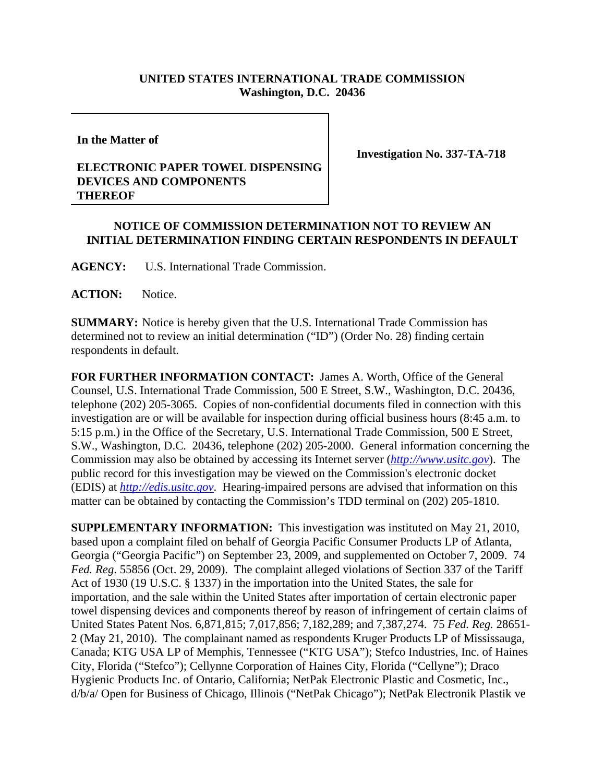## **UNITED STATES INTERNATIONAL TRADE COMMISSION Washington, D.C. 20436**

**In the Matter of**

## **ELECTRONIC PAPER TOWEL DISPENSING DEVICES AND COMPONENTS THEREOF**

**Investigation No. 337-TA-718**

## **NOTICE OF COMMISSION DETERMINATION NOT TO REVIEW AN INITIAL DETERMINATION FINDING CERTAIN RESPONDENTS IN DEFAULT**

**AGENCY:** U.S. International Trade Commission.

ACTION: Notice.

**SUMMARY:** Notice is hereby given that the U.S. International Trade Commission has determined not to review an initial determination ("ID") (Order No. 28) finding certain respondents in default.

**FOR FURTHER INFORMATION CONTACT:** James A. Worth, Office of the General Counsel, U.S. International Trade Commission, 500 E Street, S.W., Washington, D.C. 20436, telephone (202) 205-3065. Copies of non-confidential documents filed in connection with this investigation are or will be available for inspection during official business hours (8:45 a.m. to 5:15 p.m.) in the Office of the Secretary, U.S. International Trade Commission, 500 E Street, S.W., Washington, D.C. 20436, telephone (202) 205-2000. General information concerning the Commission may also be obtained by accessing its Internet server (*http://www.usitc.gov*). The public record for this investigation may be viewed on the Commission's electronic docket (EDIS) at *http://edis.usitc.gov*. Hearing-impaired persons are advised that information on this matter can be obtained by contacting the Commission's TDD terminal on (202) 205-1810.

**SUPPLEMENTARY INFORMATION:** This investigation was instituted on May 21, 2010, based upon a complaint filed on behalf of Georgia Pacific Consumer Products LP of Atlanta, Georgia ("Georgia Pacific") on September 23, 2009, and supplemented on October 7, 2009. 74 *Fed. Reg*. 55856 (Oct. 29, 2009). The complaint alleged violations of Section 337 of the Tariff Act of 1930 (19 U.S.C. § 1337) in the importation into the United States, the sale for importation, and the sale within the United States after importation of certain electronic paper towel dispensing devices and components thereof by reason of infringement of certain claims of United States Patent Nos. 6,871,815; 7,017,856; 7,182,289; and 7,387,274. 75 *Fed. Reg.* 28651- 2 (May 21, 2010). The complainant named as respondents Kruger Products LP of Mississauga, Canada; KTG USA LP of Memphis, Tennessee ("KTG USA"); Stefco Industries, Inc. of Haines City, Florida ("Stefco"); Cellynne Corporation of Haines City, Florida ("Cellyne"); Draco Hygienic Products Inc. of Ontario, California; NetPak Electronic Plastic and Cosmetic, Inc., d/b/a/ Open for Business of Chicago, Illinois ("NetPak Chicago"); NetPak Electronik Plastik ve